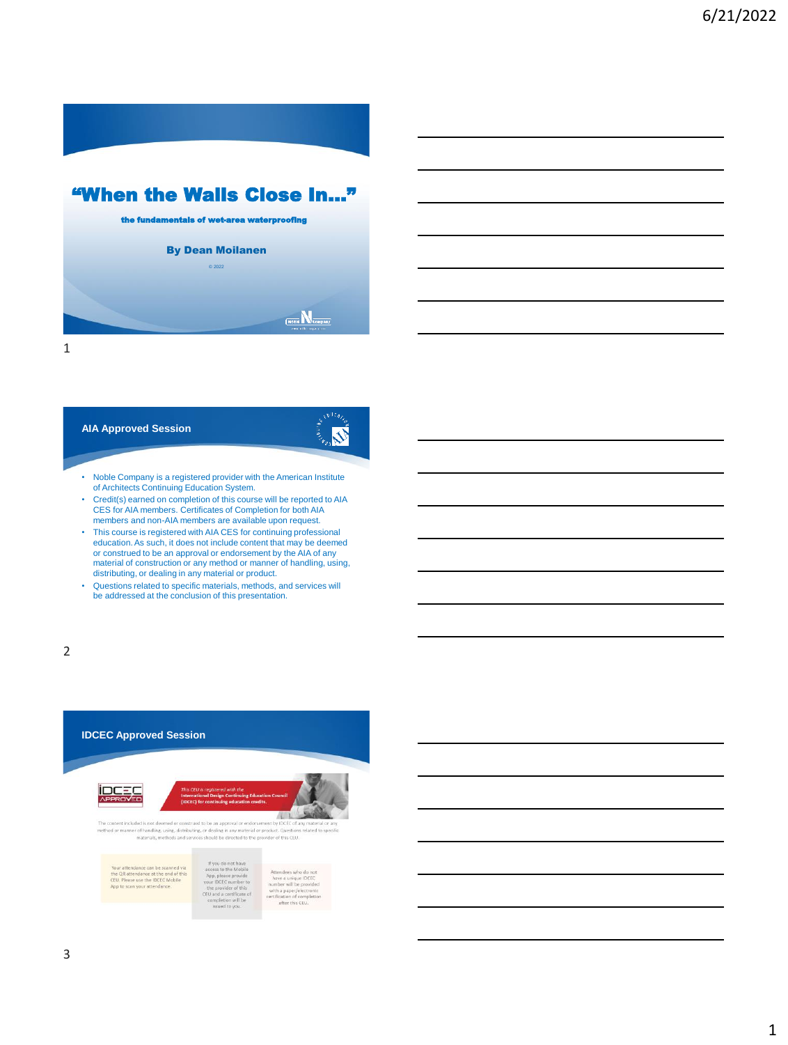

# "When the Walls Close In…"



1

# **AIA Approved Session**

# **N**

- Noble Company is a registered provider with the American Institute of Architects Continuing Education System.
- Credit(s) earned on completion of this course will be reported to AIA CES for AIA members. Certificates of Completion for both AIA members and non-AIA members are available upon request.
- This course is registered with AIA CES for continuing professional education. As such, it does not include content that may be deemed or construed to be an approval or endorsement by the AIA of any material of construction or any method or manner of handling, using, distributing, or dealing in any material or product.
- Questions related to specific materials, methods, and services will be addressed at the conclusion of this presentation.

2



n will be issued to yo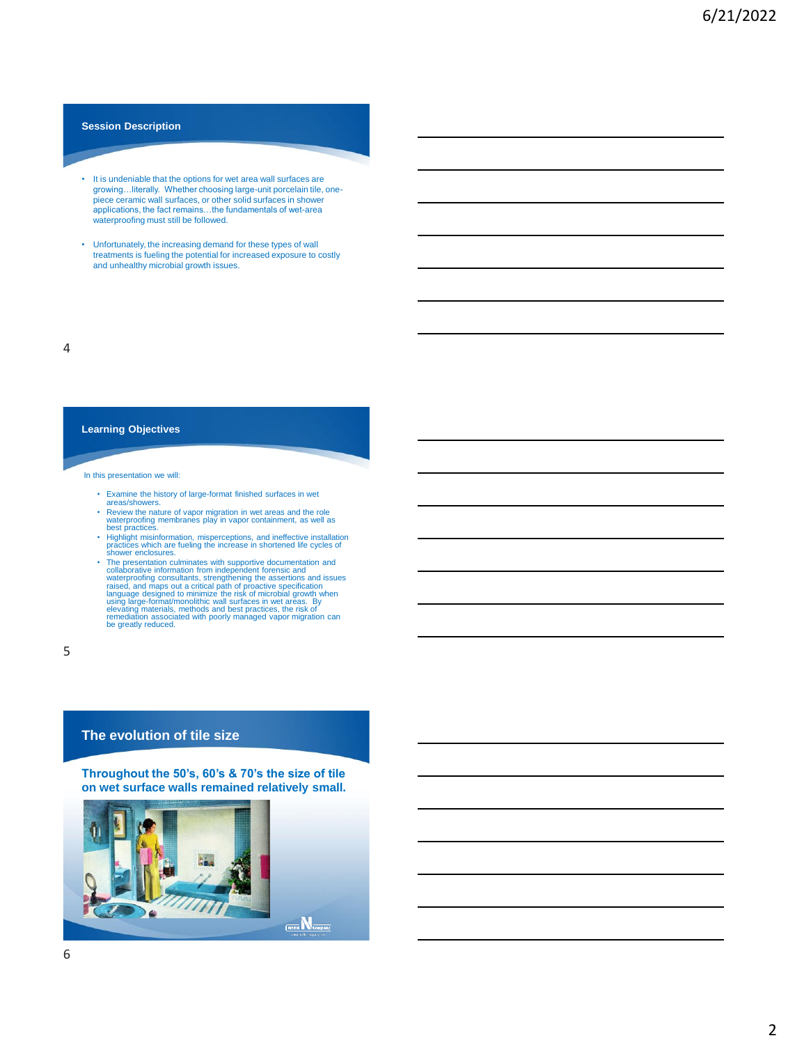#### **Session Description**

- It is undeniable that the options for wet area wall surfaces are growing…literally. Whether choosing large-unit porcelain tile, one-piece ceramic wall surfaces, or other solid surfaces in shower applications, the fact remains…the fundamentals of wet-area waterproofing must still be followed.
- Unfortunately, the increasing demand for these types of wall treatments is fueling the potential for increased exposure to costly and unhealthy microbial growth issues.

4

#### **Learning Objectives**

#### In this presentation we will:

- Examine the history of large-format finished surfaces in wet areas/showers.
- Review the nature of vapor migration in wet areas and the role waterproofing membranes play in vapor containment, as well as best practices.
- 
- Highlight misinformation, misperceptions, and ineffective installation<br>practices which are fueling the increase in shortened life cycles of<br>shower enclosures.<br>The presentation culminates with supportive documentation and<br>v

5

#### **The evolution of tile size**

**Throughout the 50's, 60's & 70's the size of tile on wet surface walls remained relatively small.**

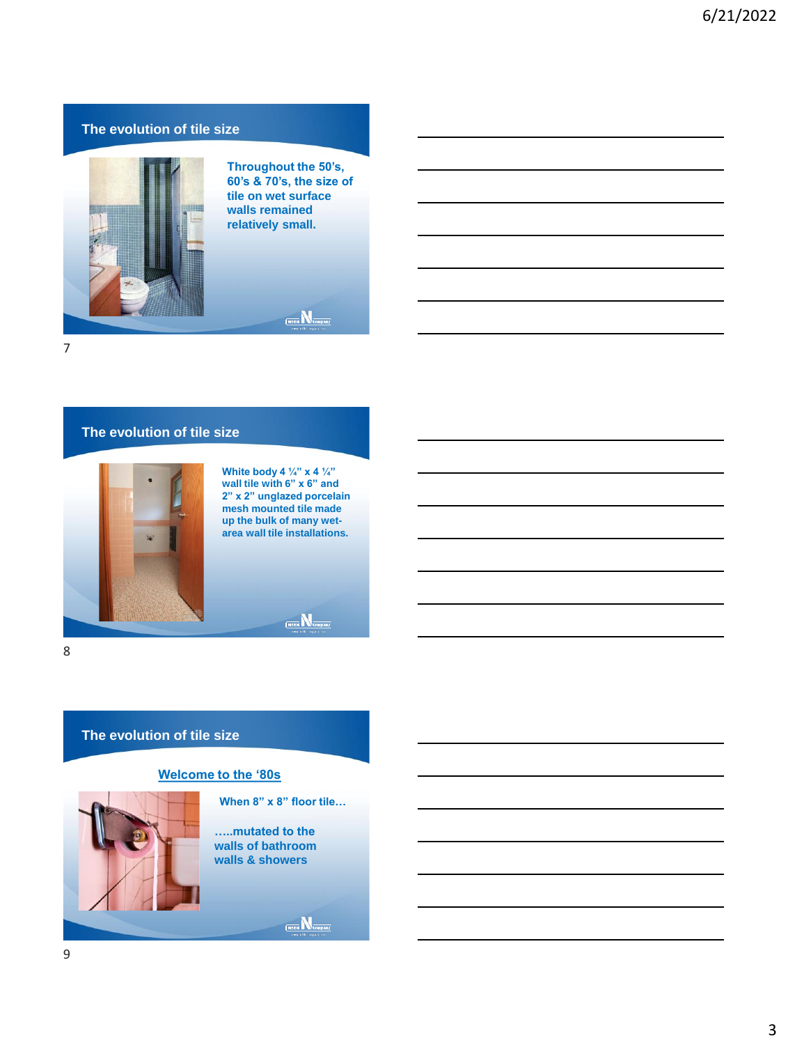# **The evolution of tile size**



**Throughout the 50's, 60's & 70's, the size of tile on wet surface walls remained relatively small.**

 $\underbrace{\mathsf{N} \mathtt{obs} \, \overline{\mathsf{N}}}_{\mathsf{Compair} j}$ 

7

# **The evolution of tile size**



**White body 4 ¼" x 4 ¼" wall tile with 6" x 6" and 2" x 2" unglazed porcelain mesh mounted tile made up the bulk of many wetarea wall tile installations.**

 $\underbrace{\textbf{(Note \textbf{N}} \textbf{1}_{\text{Compar}})}$ 

8

### **The evolution of tile size**

#### **Welcome to the '80s**



**When 8" x 8" floor tile…**

**…..mutated to the walls of bathroom walls & showers**

 $\boxed{\text{Note}}$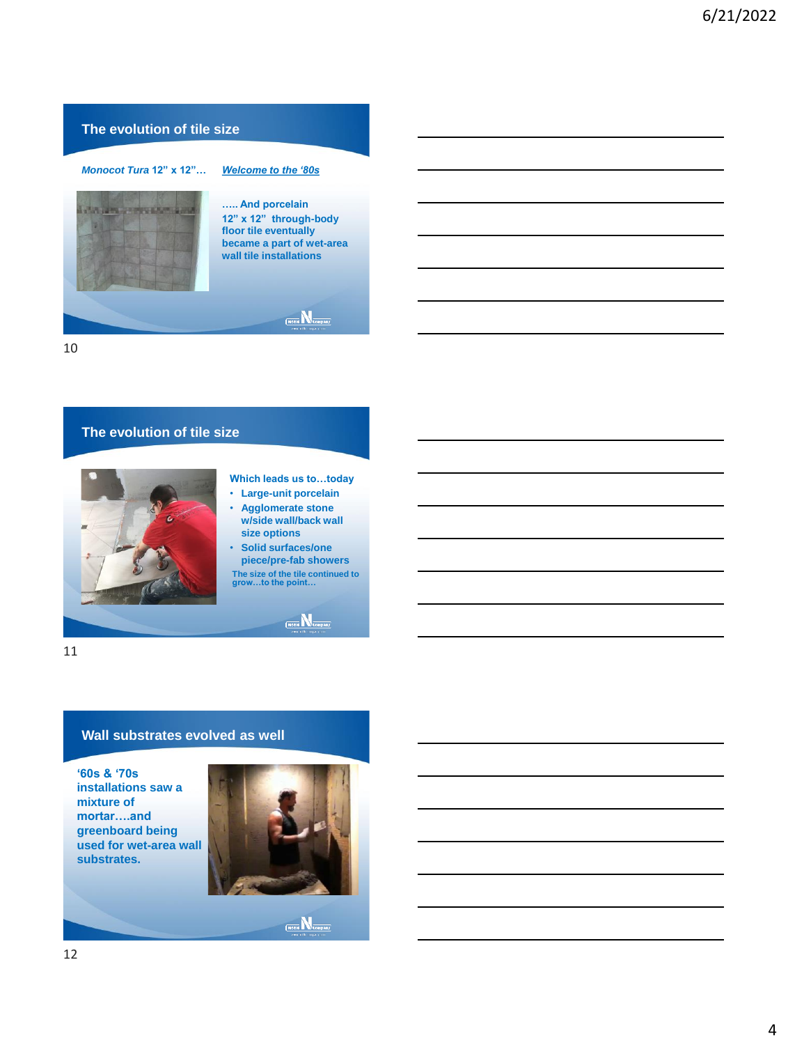# **The evolution of tile size**



10

# **The evolution of tile size** • **Large-unit porcelain size options**  $\overbrace{\text{ (Note } \hspace{-3.0mm} \sum \limits_{ \text{ Company} } }$

# **Which leads us to…today**

- **Agglomerate stone w/side wall/back wall**
- **Solid surfaces/one piece/pre-fab showers**
- **The size of the tile continued to grow…to the point…**

11

# **Wall substrates evolved as well**

**'60s & '70s installations saw a mixture of mortar….and greenboard being used for wet-area wall substrates.**



 $\underbrace{\qquad \qquad }_{\text{Noible}}\mathbf{N}_{\text{Cousany}}$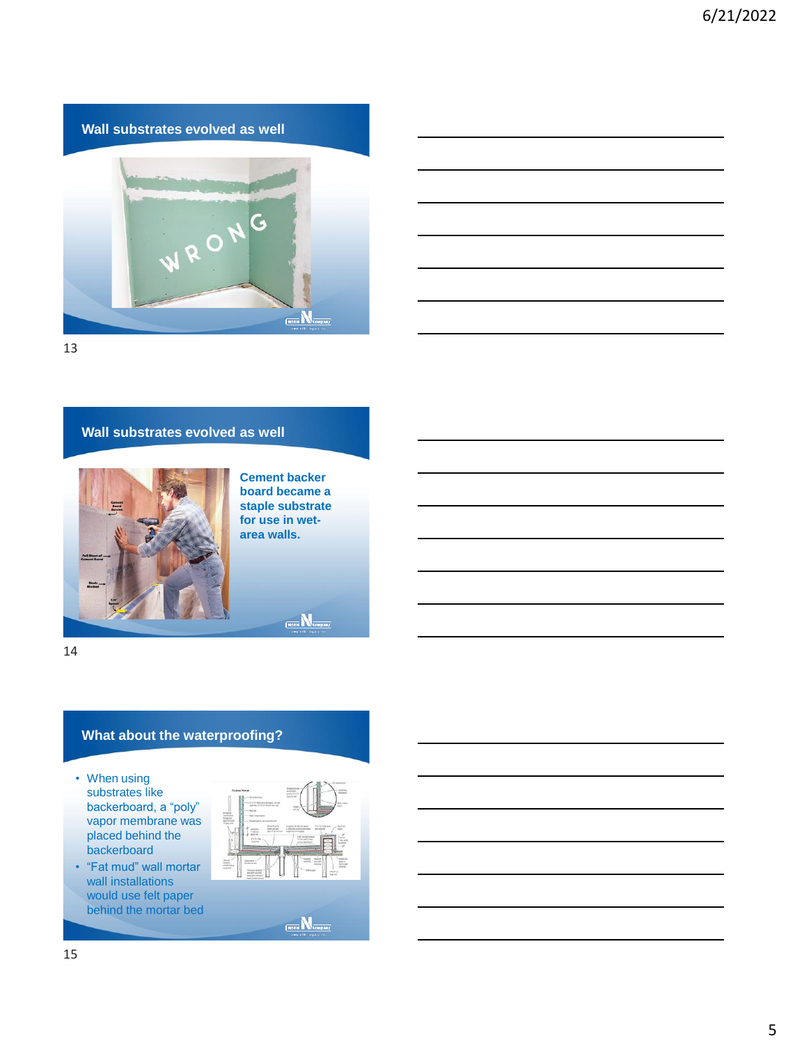# **Wall substrates evolved as well**



13

#### **Wall substrates evolved as well**



**Cement backer board became a staple substrate for use in wetarea walls.**

 $\underbrace{\mathsf{N} \mathtt{obs} \, \overline{\mathsf{N}}}_{\mathsf{Compair} j}$ 

14

# **What about the waterproofing?**

- When using substrates like backerboard, a "poly" vapor membrane was placed behind the backerboard
- "Fat mud" wall mortar wall installations would use felt paper behind the mortar bed



 $\boxed{\text{Note}}$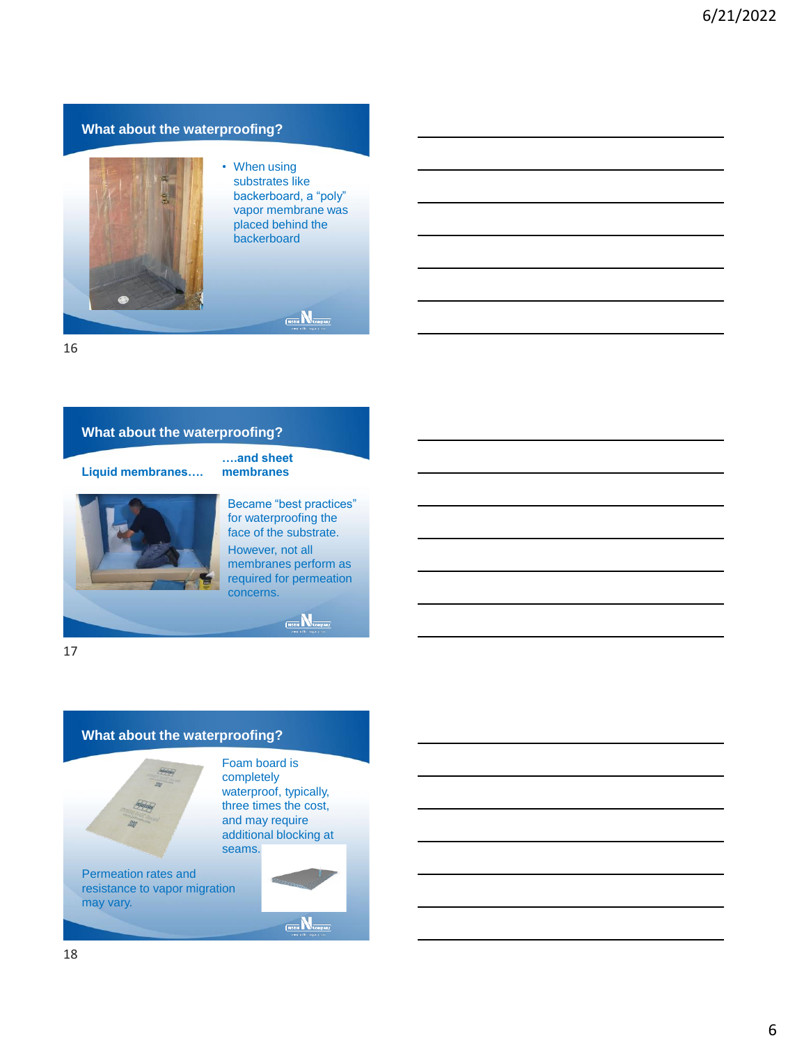# **What about the waterproofing?**



• When using substrates like backerboard, a "poly" vapor membrane was placed behind the backerboard

 $\underbrace{\qquad \qquad }_{\text{Noable}}\mathbf{N}_{\text{Coapany}}$ 

16

# **What about the waterproofing?**

**Liquid membranes….**



**….and sheet membranes**

Became "best practices" for waterproofing the face of the substrate. However, not all membranes perform as required for permeation concerns.

(Noble **N** Company)

17

# **What about the waterproofing?**



Foam board is completely waterproof, typically, three times the cost, and may require additional blocking at seams.

Permeation rates and resistance to vapor migration may vary.

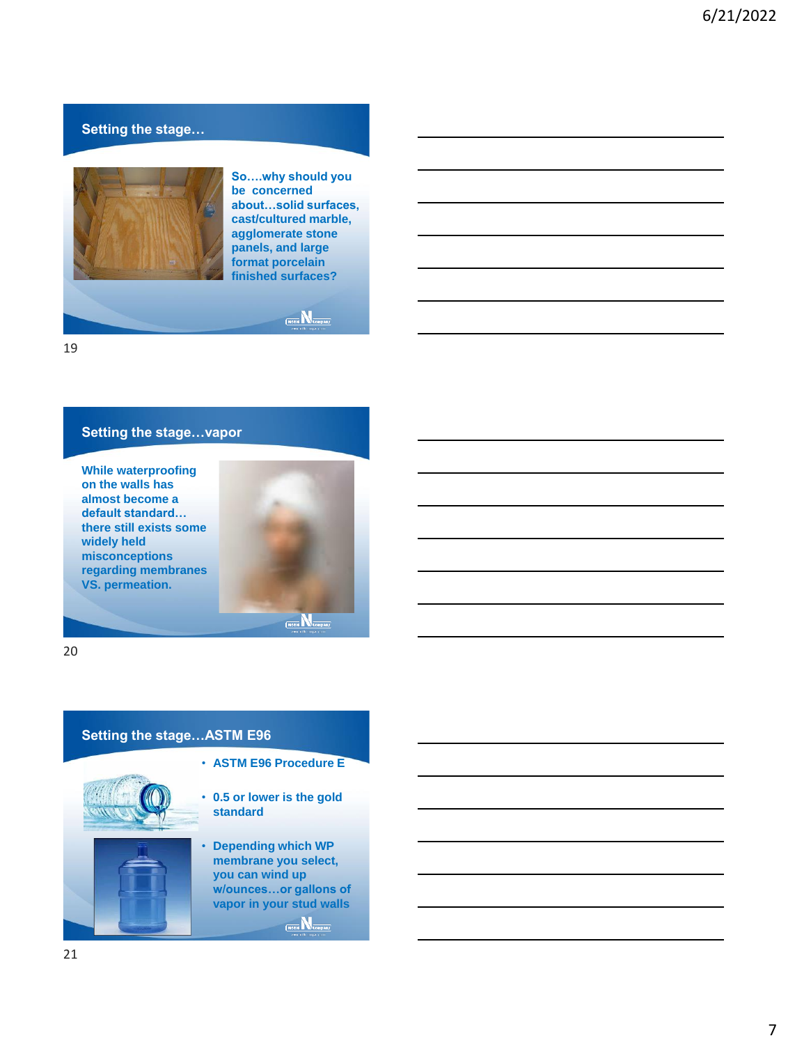# **Setting the stage…**



**So….why should you be concerned about…solid surfaces, cast/cultured marble, agglomerate stone panels, and large format porcelain finished surfaces?**

 $\underbrace{\mathsf{Note}}{\mathbb{N}}_{\mathsf{company}}$ 

19

# **Setting the stage…vapor**

**While waterproofing on the walls has almost become a default standard… there still exists some widely held misconceptions regarding membranes VS. permeation.**



20

# **Setting the stage…ASTM E96**



• **ASTM E96 Procedure E**

• **0.5 or lower is the gold standard**

• **Depending which WP membrane you select, you can wind up w/ounces…or gallons of vapor in your stud walls**  $\underbrace{\textbf{(Noible}\ \overline{\mathbf{N}_{\texttt{Compair}}}}$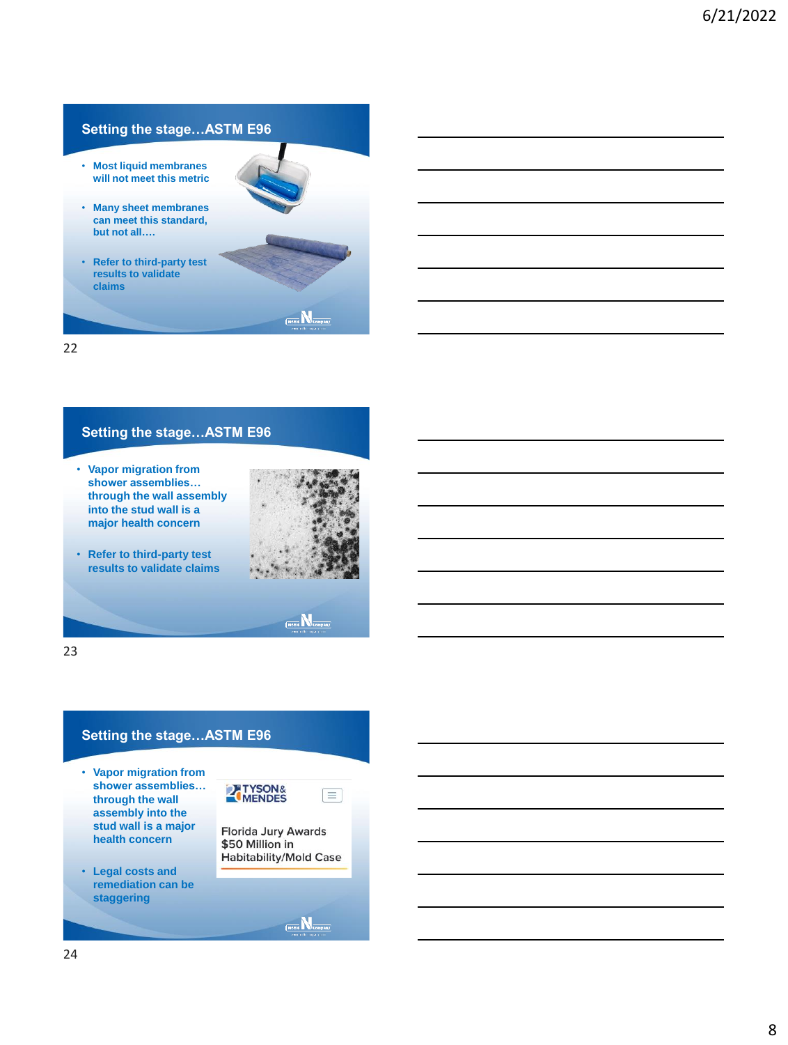# **Setting the stage…ASTM E96**

- **Most liquid membranes will not meet this metric**
- **Many sheet membranes can meet this standard, but not all….**
- **Refer to third-party test results to validate claims**



### $\frac{1}{\sqrt{100}}$

22

# **Setting the stage…ASTM E96**

• **Vapor migration from shower assemblies… through the wall assembly into the stud wall is a major health concern**



• **Refer to third-party test results to validate claims**

 $\overbrace{\text{ (Note } \hspace{-0.8ex}\sqrt{\hspace{-0.8ex}}}^{\text{Conepan}}$ 

 $\equiv$ 

23

# **Setting the stage…ASTM E96**

- **Vapor migration from shower assemblies… through the wall assembly into the stud wall is a major health concern**
- **Legal costs and remediation can be staggering**

Florida Jury Awards \$50 Million in **Habitability/Mold Case** 

 $\boxed{\text{Note}}$ 

**EXTYSON&**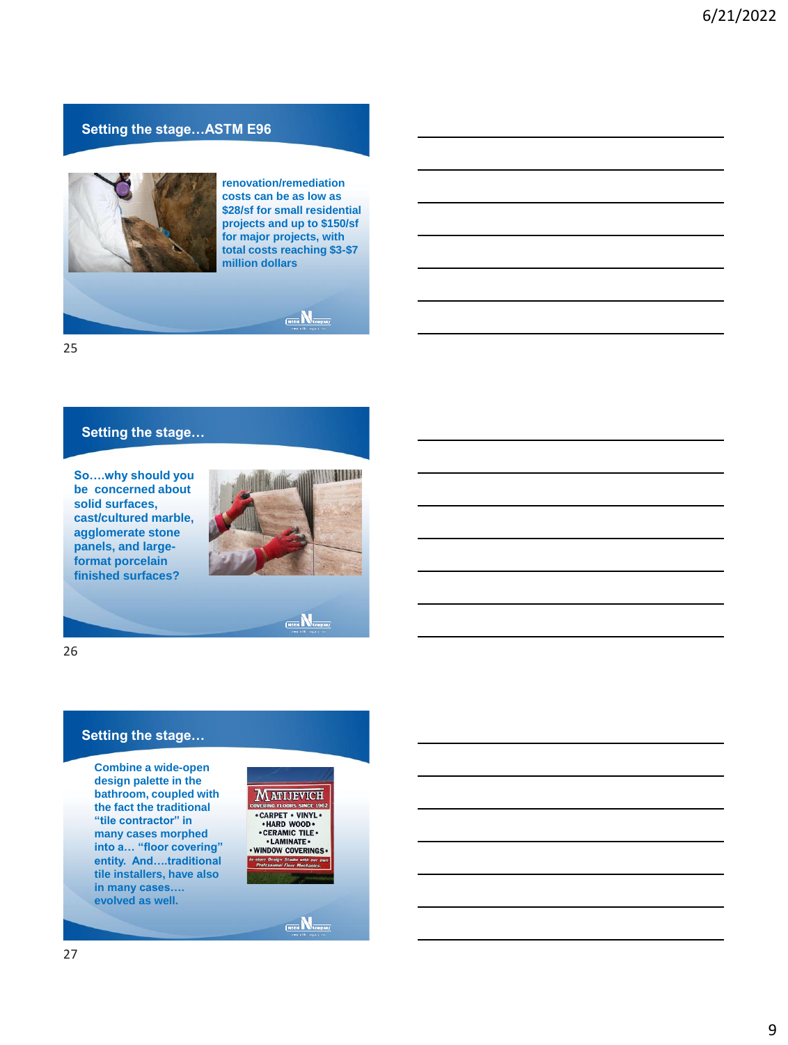# **Setting the stage…ASTM E96**



**renovation/remediation costs can be as low as \$28/sf for small residential projects and up to \$150/sf for major projects, with total costs reaching \$3-\$7 million dollars**

 $\underbrace{\textbf{(Note $\mathbbmss{N}_{\tt company}}$)}$ 

25

# **Setting the stage…**

**So….why should you be concerned about solid surfaces, cast/cultured marble, agglomerate stone panels, and largeformat porcelain finished surfaces?**



 $\underbrace{\mathsf{N} \mathtt{obs} \, \overline{\mathsf{N}}}_{\mathsf{Compair} j}$ 

26

### **Setting the stage…**

**Combine a wide-open design palette in the bathroom, coupled with the fact the traditional "tile contractor" in many cases morphed into a… "floor covering" entity. And….traditional tile installers, have also in many cases…. evolved as well.**



 $\overline{\text{(Note)}}$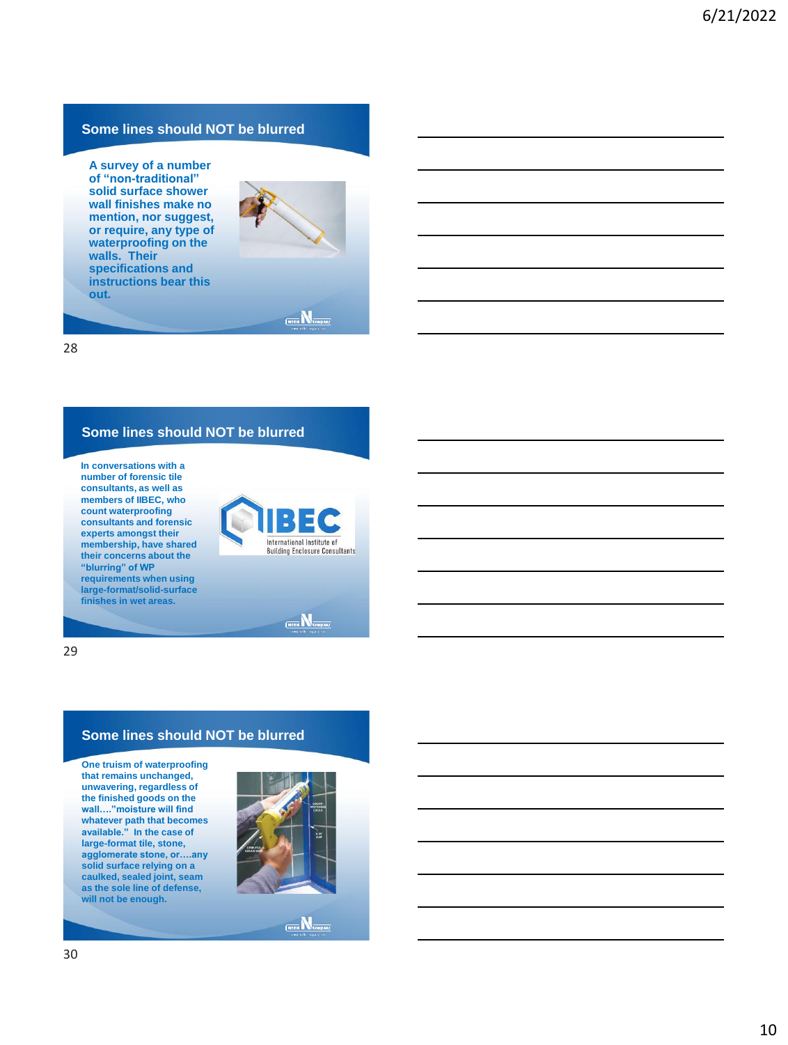# **Some lines should NOT be blurred**

**A survey of a number of "non-traditional" solid surface shower wall finishes make no mention, nor suggest, or require, any type of waterproofing on the walls. Their specifications and instructions bear this out.**



# $\overline{\text{Mobe}}$   $\overline{\text{M}}$ company

28

### **Some lines should NOT be blurred**

**In conversations with a number of forensic tile consultants, as well as members of IIBEC, who count waterproofing consultants and forensic experts amongst their membership, have shared their concerns about the "blurring" of WP requirements when using large-format/solid-surface finishes in wet areas.**





29

#### **Some lines should NOT be blurred**

**One truism of waterproofing that remains unchanged, unwavering, regardless of the finished goods on the wall…."moisture will find whatever path that becomes available." In the case of large-format tile, stone, agglomerate stone, or….any solid surface relying on a caulked, sealed joint, seam as the sole line of defense, will not be enough.**



 $\overbrace{\text{(Noble M) 1}}^{\text{(Noble M)}}$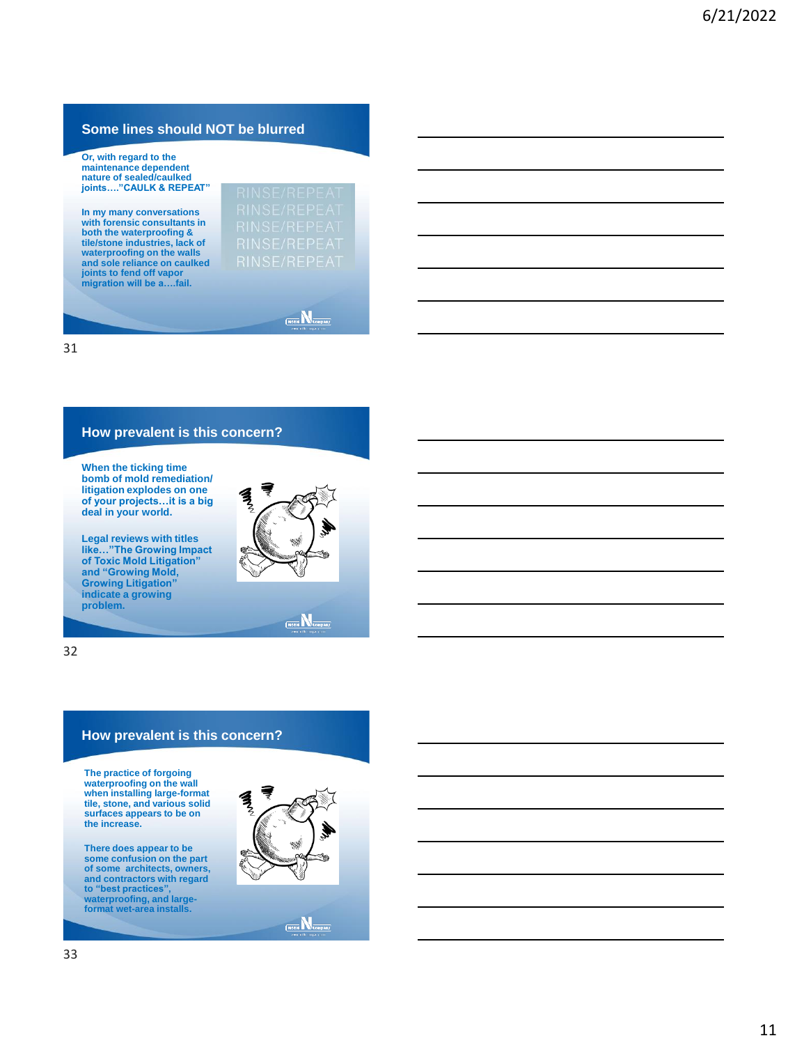# **Some lines should NOT be blurred**

**Or, with regard to the maintenance dependent nature of sealed/caulked joints…."CAULK & REPEAT"**

**In my many conversations with forensic consultants in both the waterproofing & tile/stone industries, lack of waterproofing on the walls and sole reliance on caulked joints to fend off vapor migration will be a….fail.**

 $\underbrace{\textbf{(Note $\mathbbmss{N}_{\tt company}}$)}$ 

31

#### **How prevalent is this concern?**

**When the ticking time bomb of mold remediation/ litigation explodes on one of your projects…it is a big deal in your world.**

**Legal reviews with titles like…"The Growing Impact of Toxic Mold Litigation" and "Growing Mold, Growing Litigation" indicate a growing problem.**

 $\underbrace{\mathsf{Note}}{\mathbb{N}}_{\mathsf{company}}$ 

32

# **How prevalent is this concern?**

**The practice of forgoing waterproofing on the wall when installing large-format tile, stone, and various solid surfaces appears to be on the increase.**

There does appear to be<br>some confusion on the part<br>of some architects, owners,<br>and contractors with regard<br>to "best practices",<br>waterproofing, and large-<br>format wet-area installs.



 $\frac{1}{\text{[No5]}\mathbb{R}}\sum_{\text{Comparing}}$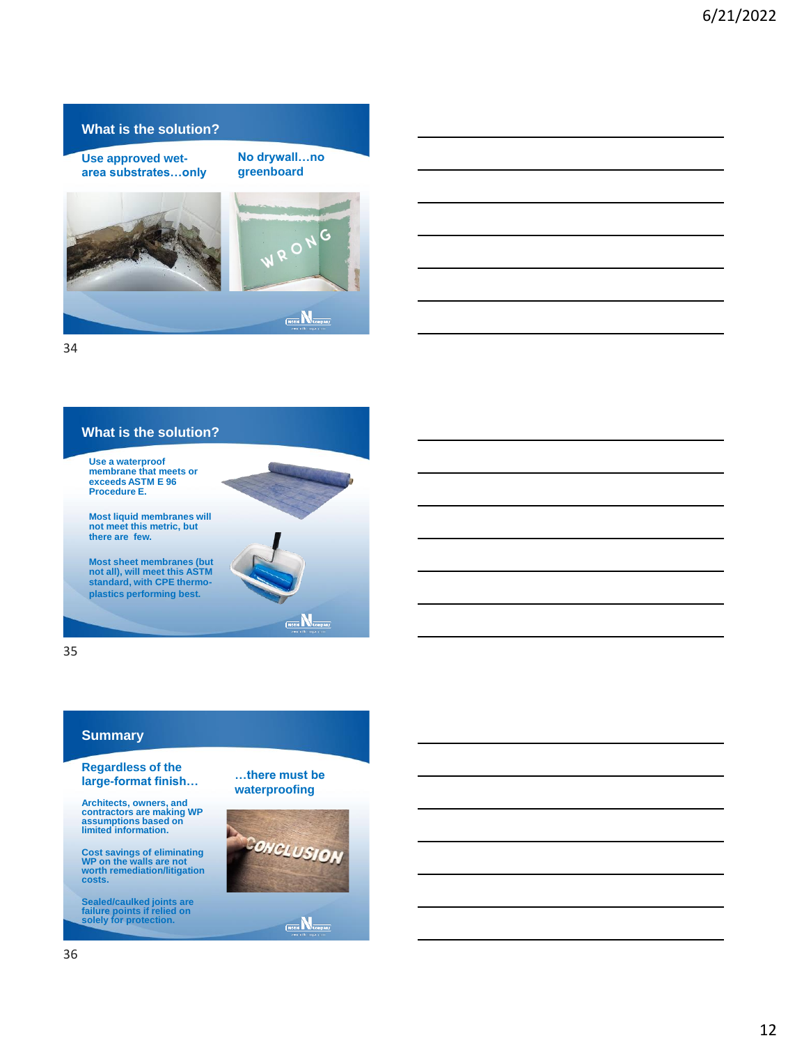#### **What is the solution?**

**Use approved wetarea substrates…only** **No drywall…no greenboard**





34

# **What is the solution?**

**Use a waterproof membrane that meets or exceeds ASTM E 96 Procedure E.**

**Most liquid membranes will not meet this metric, but there are few.**

**Most sheet membranes (but not all), will meet this ASTM standard, with CPE thermoplastics performing best.**

35

# **Summary**

#### **Regardless of the large-format finish…**

**Architects, owners, and contractors are making WP assumptions based on limited information.**

**Cost savings of eliminating WP on the walls are not worth remediation/litigation costs.**

**Sealed/caulked joints are failure points if relied on solely for protection.**

**…there must be waterproofing**

 $\underbrace{\mathsf{N} \mathtt{obs} \, \overline{\mathsf{N}}}_{\mathsf{Compair} j}$ 



 $\overline{\text{(Noible)}}$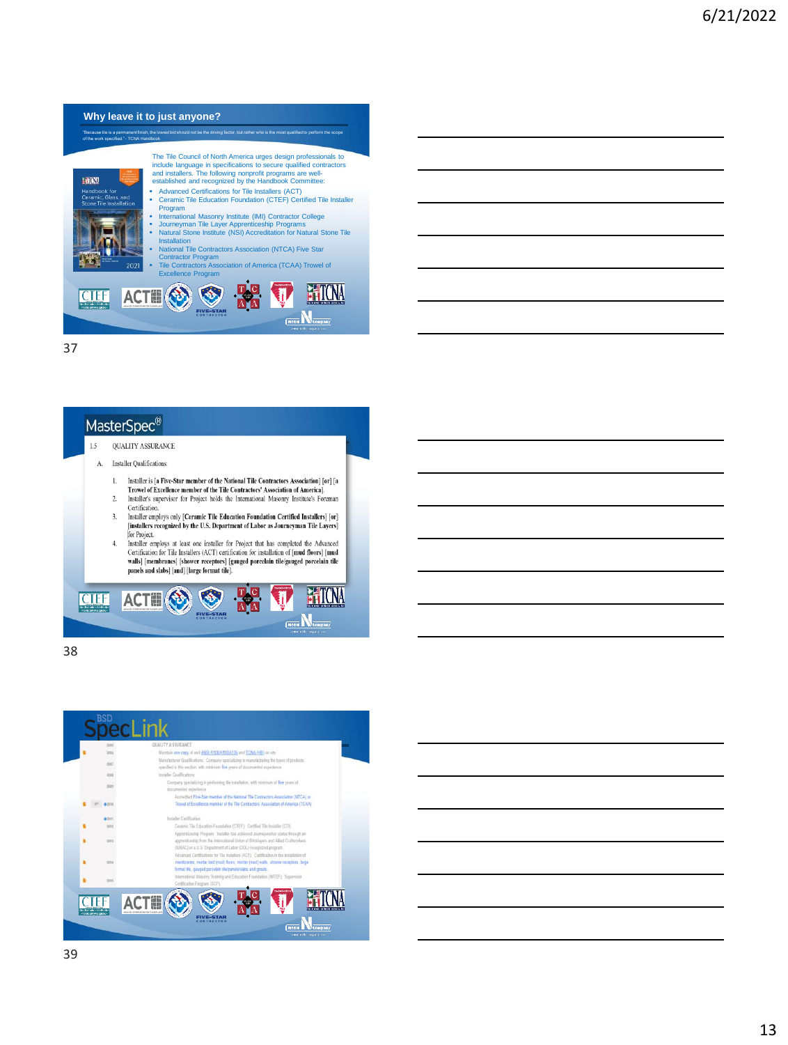# **Why leave it to just anyone?** "Because tile is a permanent finish, the lowest bid should not be the driving factor, but rather who is the most qualified to perform the scope of the work specified." - TCNA Handbook The Tile Council of North America urges design professionals to<br>include language in specifications to secure qualified contractors<br>and installers. The following nonprofit programs are well-<br>established and recognized by th EU (W) ■ Advanced Certifications for Tile Installers (ACT)<br>■ Ceramic Tile Education Foundation (CTEF) Certified Tile Installer Program<br>International Masonry Institute (IMI) Contractor College ▪ International Masonry Institute (IMI) Contractor College<br>▪ Journeyman Tile Layer Apprenticeship Programs<br>▪ Natural Stone Institute (NSI) Accreditation for Natural Stone Tile Installation ▪ National Tile Contractors Association (NTCA) Five Star Contractor Program ▪ Tile Contractors Association of America (TCAA) Trowel of Excellence Program **T CTEF** Noble **N** Company

37

# MasterSpec<sup>®</sup>

#### $1.5$ **QUALITY ASSURANCE**

- A. Installer Qualifications:
	- 1. Installer is [a Five-Star member of the National Tile Contractors Association] [or] [a<br>Trowel of Excellence member of the Tile Contractors' Association of America].  $2\cdot$ Installer's supervisor for Project holds the International Masonry Institute's Foreman
	- Certification. Installer employs only [Ceramic Tile Education Foundation Certified Installers] [or]  $3.$
	- [installers recognized by the U.S. Department of Labor as Journeyman Tile Layers] for Project.  $\overline{4}$ .
	- Finaller employs at least one installer for Project that has completed the Advanced<br>Certification for Tile Installers (ACT) certification for installation of [mud floors] [mud walls] [membranes] [shower receptors] [gauged porcelain tile/gauged porcelain tile panels and slabs] [and] [large format tile].